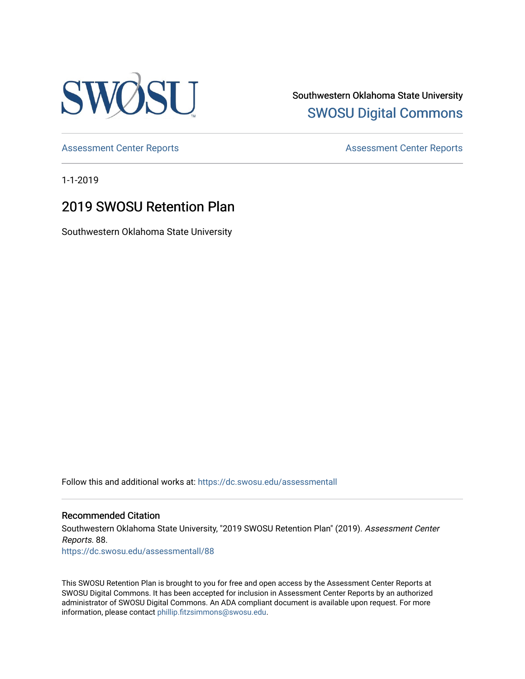

Southwestern Oklahoma State University [SWOSU Digital Commons](https://dc.swosu.edu/) 

[Assessment Center Reports](https://dc.swosu.edu/assessmenthm) **Assessment Center Reports** 

1-1-2019

### 2019 SWOSU Retention Plan

Southwestern Oklahoma State University

Follow this and additional works at: [https://dc.swosu.edu/assessmentall](https://dc.swosu.edu/assessmentall?utm_source=dc.swosu.edu%2Fassessmentall%2F88&utm_medium=PDF&utm_campaign=PDFCoverPages) 

#### Recommended Citation

Southwestern Oklahoma State University, "2019 SWOSU Retention Plan" (2019). Assessment Center Reports. 88. [https://dc.swosu.edu/assessmentall/88](https://dc.swosu.edu/assessmentall/88?utm_source=dc.swosu.edu%2Fassessmentall%2F88&utm_medium=PDF&utm_campaign=PDFCoverPages) 

This SWOSU Retention Plan is brought to you for free and open access by the Assessment Center Reports at SWOSU Digital Commons. It has been accepted for inclusion in Assessment Center Reports by an authorized administrator of SWOSU Digital Commons. An ADA compliant document is available upon request. For more information, please contact [phillip.fitzsimmons@swosu.edu.](mailto:phillip.fitzsimmons@swosu.edu)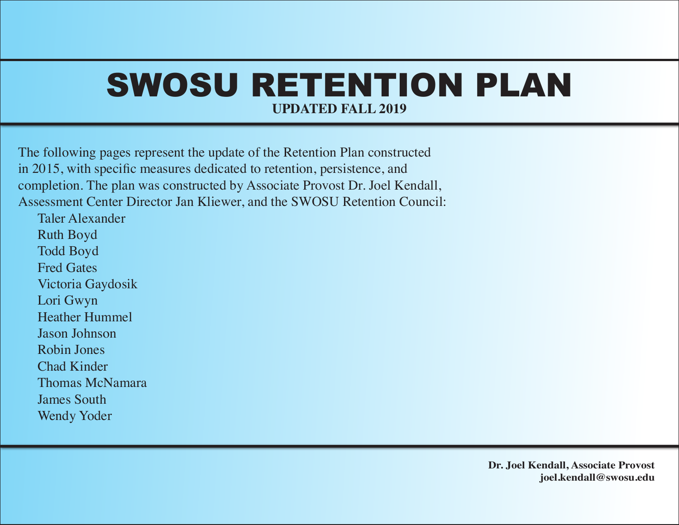## SWOSU RETENTION PLAN **UPDATED FALL 2019**

The following pages represent the update of the Retention Plan constructed in 2015, with specific measures dedicated to retention, persistence, and completion. The plan was constructed by Associate Provost Dr. Joel Kendall, Assessment Center Director Jan Kliewer, and the SWOSU Retention Council:

Taler Alexander Ruth Boyd Todd Boyd Fred Gates Victoria Gaydosik Lori Gwyn Heather Hummel Jason Johnson Robin Jones Chad Kinder Thomas McNamara James South Wendy Yoder

> **Dr. Joel Kendall, Associate Provost joel.kendall@swosu.edu**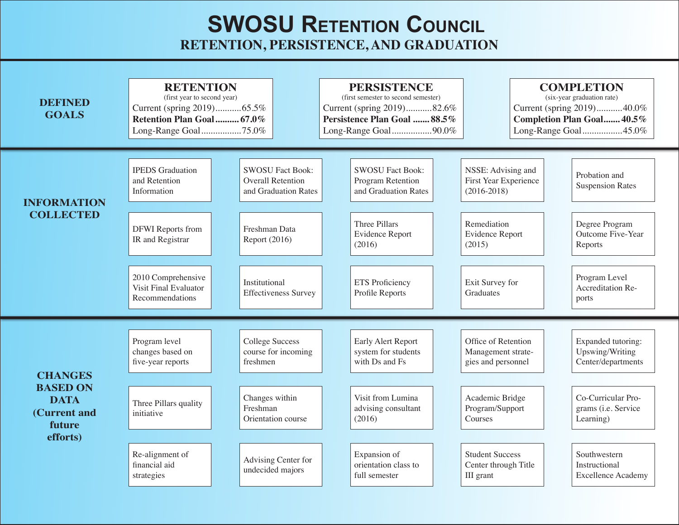### **SWOSU RETENTION COUNCIL RETENTION, PERSISTENCE, AND GRADUATION**

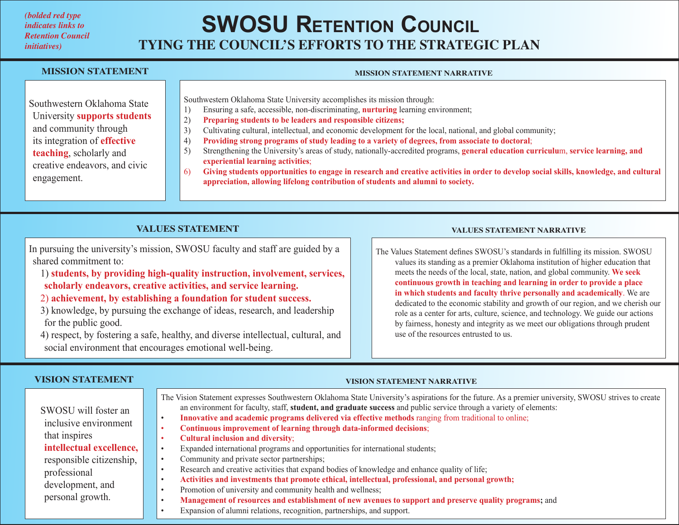#### *(bolded red type indicates links to Retention Council initiatives)*

## **TYING THE COUNCIL'S EFFORTS TO THE STRATEGIC PLAN SWOSU RETENTION COUNCIL**

#### **MISSION STATEMENT**

#### **MISSION STATEMENT NARRATIVE**

Southwestern Oklahoma State University **supports students** and community through its integration of **effective teaching**, scholarly and creative endeavors, and civic engagement.

Southwestern Oklahoma State University accomplishes its mission through:

- 1) Ensuring a safe, accessible, non-discriminating, **nurturing** learning environment;
- 2) **Preparing students to be leaders and responsible citizens;**
- 3) Cultivating cultural, intellectual, and economic development for the local, national, and global community;
- 4) **Providing strong programs of study leading to a variety of degrees, from associate to doctoral**;
- 5) Strengthening the University's areas of study, nationally-accredited programs, **general education curriculu**m, **service learning, and experiential learning activities**;

**VISION STATEMENT NARRATIVE**

6) **Giving students opportunities to engage in research and creative activities in order to develop social skills, knowledge, and cultural appreciation, allowing lifelong contribution of students and alumni to society.**

#### **VALUES STATEMENT**

In pursuing the university's mission, SWOSU faculty and staff are guided by a shared commitment to:

- 1) **students, by providing high-quality instruction, involvement, services, scholarly endeavors, creative activities, and service learning.**
- 2) **achievement, by establishing a foundation for student success.**
- 3) knowledge, by pursuing the exchange of ideas, research, and leadership for the public good.

4) respect, by fostering a safe, healthy, and diverse intellectual, cultural, and social environment that encourages emotional well-being.

#### **VALUES STATEMENT NARRATIVE**

The Values Statement defines SWOSU's standards in fulfilling its mission. SWOSU

values its standing as a premier Oklahoma institution of higher education that meets the needs of the local, state, nation, and global community. **We seek continuous growth in teaching and learning in order to provide a place in which students and faculty thrive personally and academically**. We are dedicated to the economic stability and growth of our region, and we cherish our role as a center for arts, culture, science, and technology. We guide our actions by fairness, honesty and integrity as we meet our obligations through prudent use of the resources entrusted to us.

#### **VISION STATEMENT**

| The Vision Statement expresses Southwestern Oklahoma State University's aspirations for the future. As a premier university, SWOSU strives to create<br>an environment for faculty, staff, student, and graduate success and public service through a variety of elements:<br>Innovative and academic programs delivered via effective methods ranging from traditional to online;<br>$\bullet$<br>Continuous improvement of learning through data-informed decisions;<br><b>Cultural inclusion and diversity;</b><br>Expanded international programs and opportunities for international students;<br>$\bullet$<br>Community and private sector partnerships;<br>$\bullet$<br>Research and creative activities that expand bodies of knowledge and enhance quality of life;<br>Activities and investments that promote ethical, intellectual, professional, and personal growth;<br>$\bullet$<br>Promotion of university and community health and wellness; |
|--------------------------------------------------------------------------------------------------------------------------------------------------------------------------------------------------------------------------------------------------------------------------------------------------------------------------------------------------------------------------------------------------------------------------------------------------------------------------------------------------------------------------------------------------------------------------------------------------------------------------------------------------------------------------------------------------------------------------------------------------------------------------------------------------------------------------------------------------------------------------------------------------------------------------------------------------------------|
| Management of resources and establishment of new avenues to support and preserve quality programs; and<br>Expansion of alumni relations, recognition, partnerships, and support.                                                                                                                                                                                                                                                                                                                                                                                                                                                                                                                                                                                                                                                                                                                                                                             |
|                                                                                                                                                                                                                                                                                                                                                                                                                                                                                                                                                                                                                                                                                                                                                                                                                                                                                                                                                              |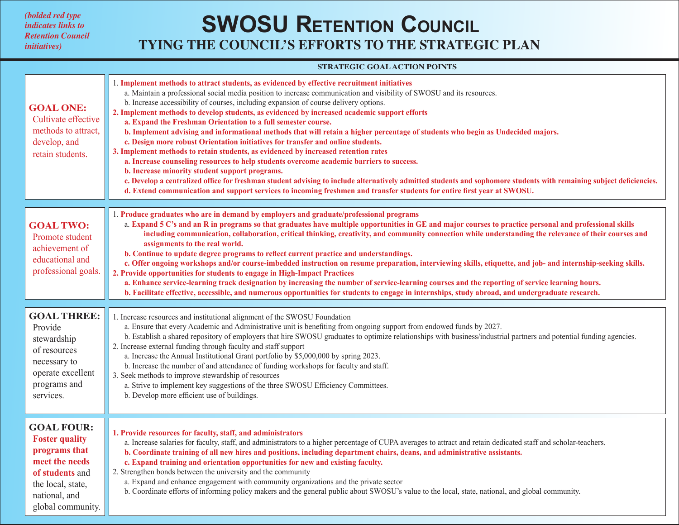*(bolded red type indicates links to Retention Council initiatives)*

### **TYING THE COUNCIL'S EFFORTS TO THE STRATEGIC PLAN SWOSU RETENTION COUNCIL**

#### **STRATEGIC GOAL ACTION POINTS**

| <b>GOAL ONE:</b><br>Cultivate effective<br>methods to attract,<br>develop, and<br>retain students.                                                          | 1. Implement methods to attract students, as evidenced by effective recruitment initiatives<br>a. Maintain a professional social media position to increase communication and visibility of SWOSU and its resources.<br>b. Increase accessibility of courses, including expansion of course delivery options.<br>2. Implement methods to develop students, as evidenced by increased academic support efforts<br>a. Expand the Freshman Orientation to a full semester course.<br>b. Implement advising and informational methods that will retain a higher percentage of students who begin as Undecided majors.<br>c. Design more robust Orientation initiatives for transfer and online students.<br>3. Implement methods to retain students, as evidenced by increased retention rates<br>a. Increase counseling resources to help students overcome academic barriers to success.<br>b. Increase minority student support programs.<br>c. Develop a centralized office for freshman student advising to include alternatively admitted students and sophomore students with remaining subject deficiencies.<br>d. Extend communication and support services to incoming freshmen and transfer students for entire first year at SWOSU. |
|-------------------------------------------------------------------------------------------------------------------------------------------------------------|---------------------------------------------------------------------------------------------------------------------------------------------------------------------------------------------------------------------------------------------------------------------------------------------------------------------------------------------------------------------------------------------------------------------------------------------------------------------------------------------------------------------------------------------------------------------------------------------------------------------------------------------------------------------------------------------------------------------------------------------------------------------------------------------------------------------------------------------------------------------------------------------------------------------------------------------------------------------------------------------------------------------------------------------------------------------------------------------------------------------------------------------------------------------------------------------------------------------------------------------|
|                                                                                                                                                             | 1. Produce graduates who are in demand by employers and graduate/professional programs                                                                                                                                                                                                                                                                                                                                                                                                                                                                                                                                                                                                                                                                                                                                                                                                                                                                                                                                                                                                                                                                                                                                                      |
| <b>GOAL TWO:</b><br>Promote student<br>achievement of<br>educational and<br>professional goals.                                                             | a. Expand 5 C's and an R in programs so that graduates have multiple opportunities in GE and major courses to practice personal and professional skills<br>including communication, collaboration, critical thinking, creativity, and community connection while understanding the relevance of their courses and<br>assignments to the real world.<br>b. Continue to update degree programs to reflect current practice and understandings.<br>c. Offer ongoing workshops and/or course-imbedded instruction on resume preparation, interviewing skills, etiquette, and job- and internship-seeking skills.<br>2. Provide opportunities for students to engage in High-Impact Practices<br>a. Enhance service-learning track designation by increasing the number of service-learning courses and the reporting of service learning hours.<br>b. Facilitate effective, accessible, and numerous opportunities for students to engage in internships, study abroad, and undergraduate research.                                                                                                                                                                                                                                             |
|                                                                                                                                                             |                                                                                                                                                                                                                                                                                                                                                                                                                                                                                                                                                                                                                                                                                                                                                                                                                                                                                                                                                                                                                                                                                                                                                                                                                                             |
| <b>GOAL THREE:</b><br>Provide<br>stewardship<br>of resources<br>necessary to<br>operate excellent<br>programs and<br>services.                              | 1. Increase resources and institutional alignment of the SWOSU Foundation<br>a. Ensure that every Academic and Administrative unit is benefiting from ongoing support from endowed funds by 2027.<br>b. Establish a shared repository of employers that hire SWOSU graduates to optimize relationships with business/industrial partners and potential funding agencies.<br>2. Increase external funding through faculty and staff support<br>a. Increase the Annual Institutional Grant portfolio by \$5,000,000 by spring 2023.<br>b. Increase the number of and attendance of funding workshops for faculty and staff.<br>3. Seek methods to improve stewardship of resources<br>a. Strive to implement key suggestions of the three SWOSU Efficiency Committees.<br>b. Develop more efficient use of buildings.                                                                                                                                                                                                                                                                                                                                                                                                                         |
| <b>GOAL FOUR:</b><br><b>Foster quality</b><br>programs that<br>meet the needs<br>of students and<br>the local, state,<br>national, and<br>global community. | 1. Provide resources for faculty, staff, and administrators<br>a. Increase salaries for faculty, staff, and administrators to a higher percentage of CUPA averages to attract and retain dedicated staff and scholar-teachers.<br>b. Coordinate training of all new hires and positions, including department chairs, deans, and administrative assistants.<br>c. Expand training and orientation opportunities for new and existing faculty.<br>2. Strengthen bonds between the university and the community<br>a. Expand and enhance engagement with community organizations and the private sector<br>b. Coordinate efforts of informing policy makers and the general public about SWOSU's value to the local, state, national, and global community.                                                                                                                                                                                                                                                                                                                                                                                                                                                                                   |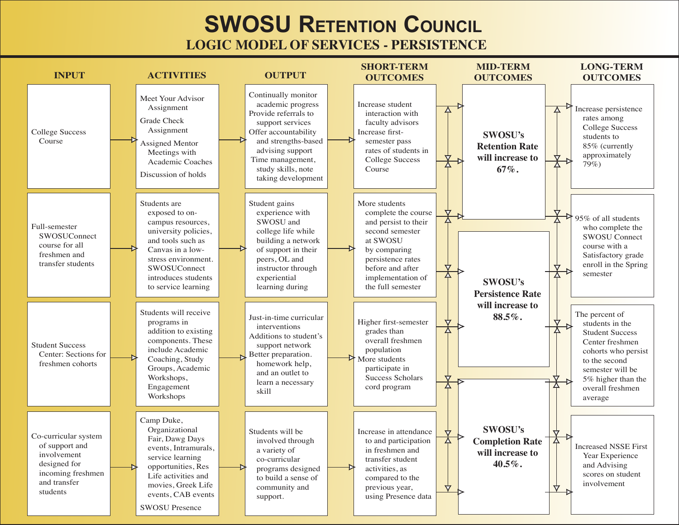### **SWOSU RETENTION COUNCIL LOGIC MODEL OF SERVICES - PERSISTENCE**

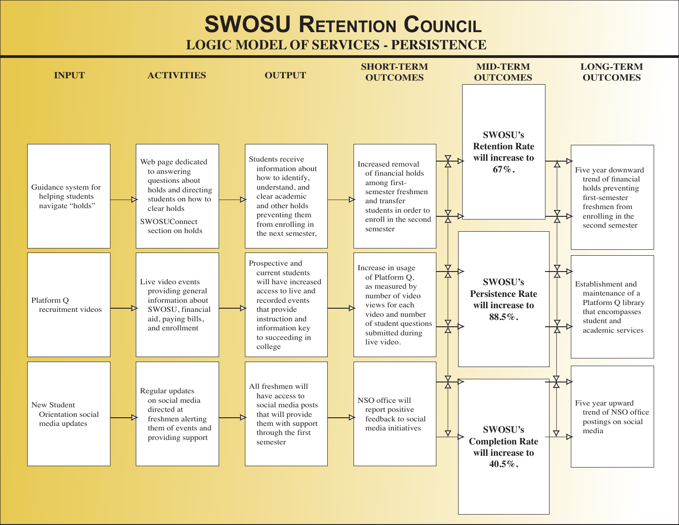**SWOSU RETENTION COUNCIL** 

**LOGIC MODEL OF SERVICES - PERSISTENCE** 

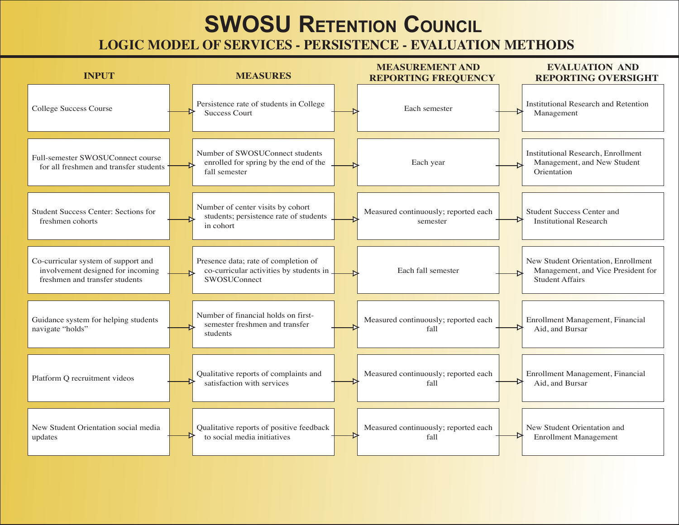### **SWOSU RETENTION COUNCIL LOGIC MODEL OF SERVICES - PERSISTENCE - EVALUATION METHODS**

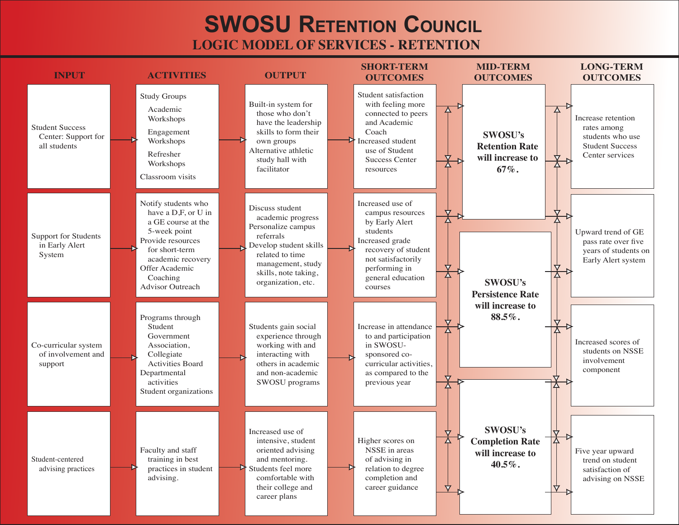### **SWOSU RETENTION COUNCIL LOGIC MODEL OF SERVICES - RETENTION**

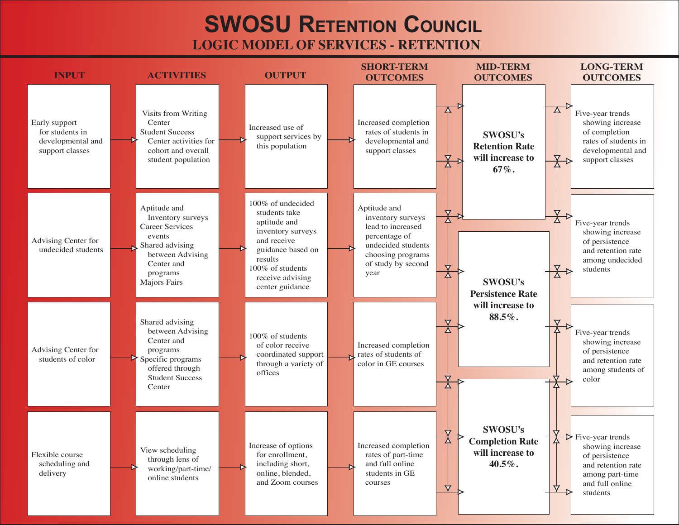### **SWOSU RETENTION COUNCIL LOGIC MODEL OF SERVICES - RETENTION**

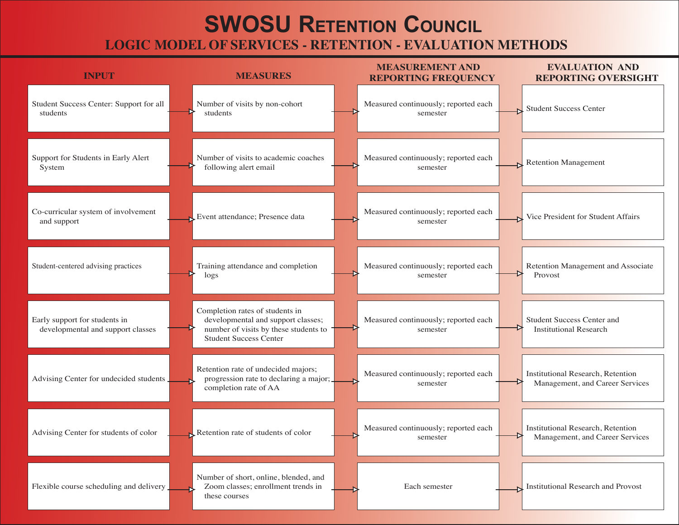### **SWOSU RETENTION COUNCIL LOGIC MODEL OF SERVICES - RETENTION - EVALUATION METHODS**

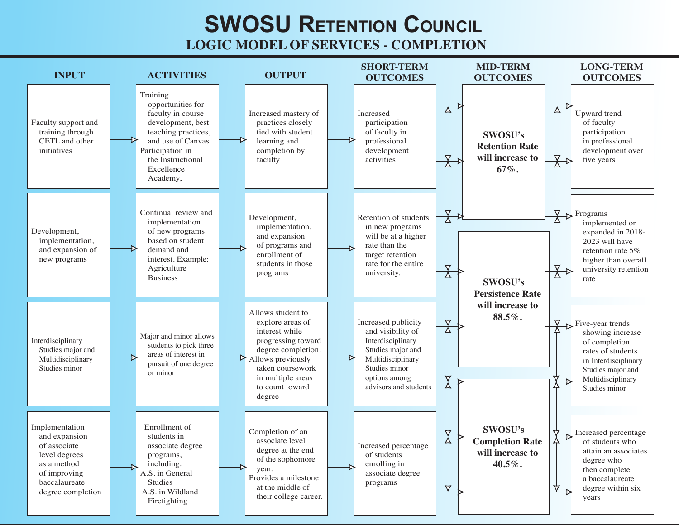### **SWOSU RETENTION COUNCIL LOGIC MODEL OF SERVICES - COMPLETION**

**SHORT-TERM MID-TERM LONG-TERM INPUT ACTIVITIES OUTPUT OUTCOMES OUTCOMES OUTCOMES** Training opportunities for Upward trend faculty in course Increased mastery of Increased Faculty support and development, best practices closely participation of faculty training through teaching practices, tied with student of faculty in participation **SWOSU's** CETL and other and use of Canvas learning and professional in professional **Retention Rate** initiatives Participation in completion by development development over will increase to the Instructional faculty activities five years  $67\%$ . Excellence Academy, Continual review and Programs Retention of students Development, implementation implemented or implementation, in new programs Development, of new programs expanded in 2018and expansion will be at a higher implementation. based on student 2023 will have of programs and rate than the and expansion of demand and retention rate 5% enrollment of target retention new programs interest. Example: higher than overall students in those rate for the entire Agriculture university retention university. programs **Business** rate SWOSU's **Persistence Rate** will increase to Allows student to  $88.5\%$ . explore areas of Increased publicity Five-year trends and visibility of interest while showing increase Major and minor allows Interdisciplinary progressing toward Interdisciplinary of completion students to pick three Studies major and Studies major and degree completion. rates of students areas of interest in Multidisciplinary Allows previously Multidisciplinary in Interdisciplinary pursuit of one degree Studies minor taken coursework Studies minor Studies major and or minor in multiple areas options among Multidisciplinary to count toward advisors and students Studies minor degree Implementation Enrollment of **SWOSU's** Completion of an Increased percentage and expansion students in **Completion Rate** associate level of students who of associate Increased percentage associate degree degree at the end attain an associates will increase to level degrees programs, of students of the sophomore degree who as a method including: enrolling in  $40.5\%$ . vear. then complete A.S. in General of improving associate degree Provides a milestone a baccalaureate baccalaureate **Studies** programs at the middle of  $\Delta$ degree within six ∀ A.S. in Wildland degree completion their college career. years Firefighting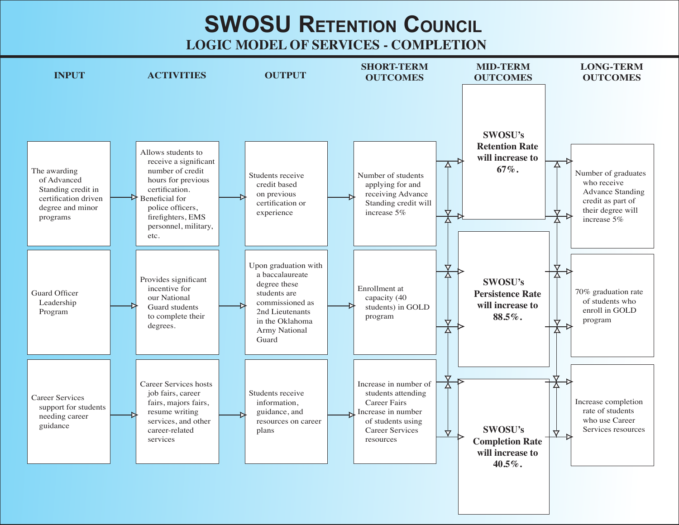**SWOSU RETENTION COUNCIL** 

**LOGIC MODEL OF SERVICES - COMPLETION** 

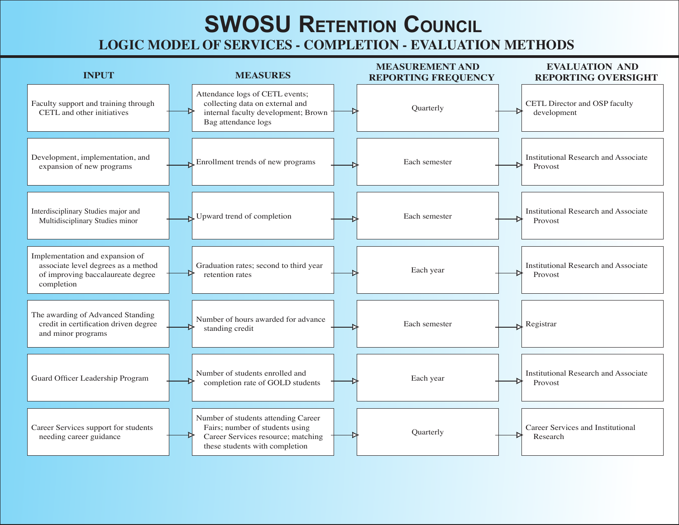### **SWOSU RETENTION COUNCIL LOGIC MODEL OF SERVICES - COMPLETION - EVALUATION METHODS**

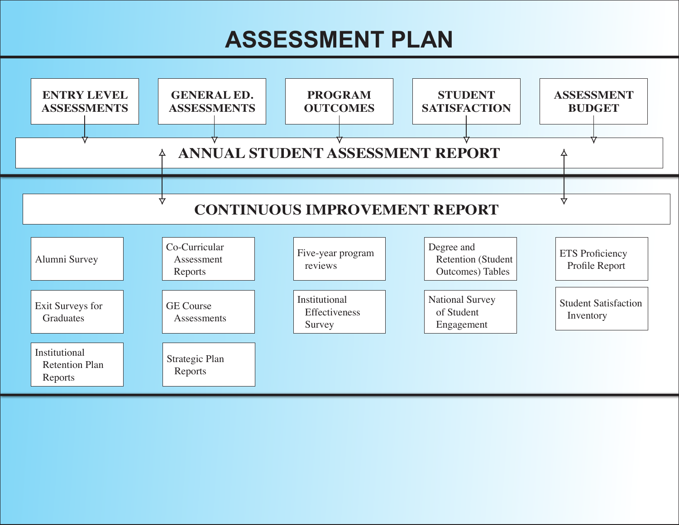# **ASSESSMENT PLAN**